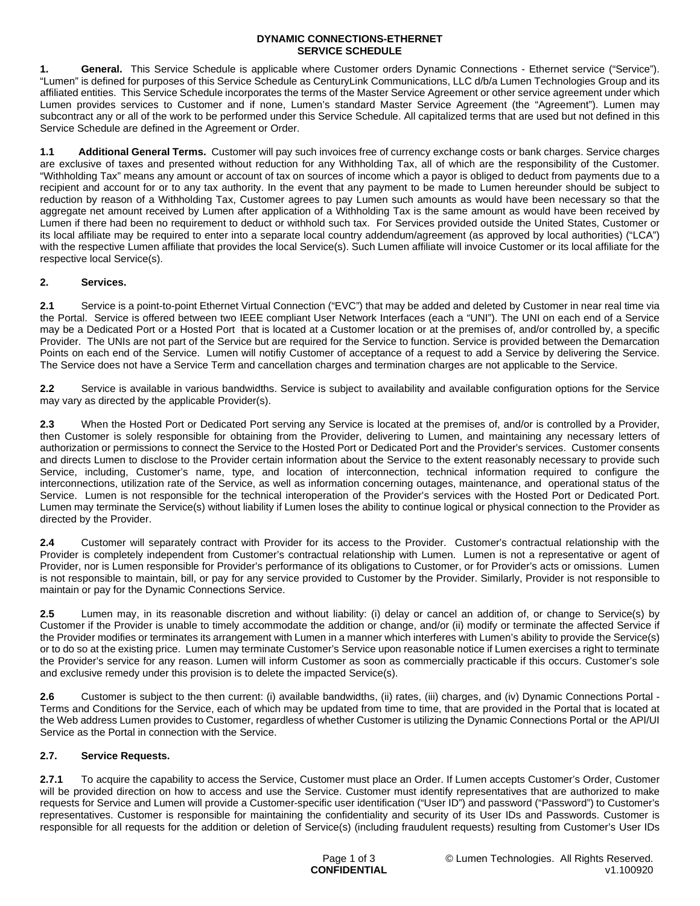### **DYNAMIC CONNECTIONS-ETHERNET SERVICE SCHEDULE**

**1. General.** This Service Schedule is applicable where Customer orders Dynamic Connections - Ethernet service ("Service"). "Lumen" is defined for purposes of this Service Schedule as CenturyLink Communications, LLC d/b/a Lumen Technologies Group and its affiliated entities. This Service Schedule incorporates the terms of the Master Service Agreement or other service agreement under which Lumen provides services to Customer and if none, Lumen's standard Master Service Agreement (the "Agreement"). Lumen may subcontract any or all of the work to be performed under this Service Schedule. All capitalized terms that are used but not defined in this Service Schedule are defined in the Agreement or Order.

**1.1 Additional General Terms.** Customer will pay such invoices free of currency exchange costs or bank charges. Service charges are exclusive of taxes and presented without reduction for any Withholding Tax, all of which are the responsibility of the Customer. "Withholding Tax" means any amount or account of tax on sources of income which a payor is obliged to deduct from payments due to a recipient and account for or to any tax authority. In the event that any payment to be made to Lumen hereunder should be subject to reduction by reason of a Withholding Tax, Customer agrees to pay Lumen such amounts as would have been necessary so that the aggregate net amount received by Lumen after application of a Withholding Tax is the same amount as would have been received by Lumen if there had been no requirement to deduct or withhold such tax. For Services provided outside the United States, Customer or its local affiliate may be required to enter into a separate local country addendum/agreement (as approved by local authorities) ("LCA") with the respective Lumen affiliate that provides the local Service(s). Such Lumen affiliate will invoice Customer or its local affiliate for the respective local Service(s).

## **2. Services.**

**2.1** Service is a point-to-point Ethernet Virtual Connection ("EVC") that may be added and deleted by Customer in near real time via the Portal. Service is offered between two IEEE compliant User Network Interfaces (each a "UNI"). The UNI on each end of a Service may be a Dedicated Port or a Hosted Port that is located at a Customer location or at the premises of, and/or controlled by, a specific Provider. The UNIs are not part of the Service but are required for the Service to function. Service is provided between the Demarcation Points on each end of the Service. Lumen will notifiy Customer of acceptance of a request to add a Service by delivering the Service. The Service does not have a Service Term and cancellation charges and termination charges are not applicable to the Service.

**2.2** Service is available in various bandwidths. Service is subject to availability and available configuration options for the Service may vary as directed by the applicable Provider(s).

**2.3** When the Hosted Port or Dedicated Port serving any Service is located at the premises of, and/or is controlled by a Provider, then Customer is solely responsible for obtaining from the Provider, delivering to Lumen, and maintaining any necessary letters of authorization or permissions to connect the Service to the Hosted Port or Dedicated Port and the Provider's services. Customer consents and directs Lumen to disclose to the Provider certain information about the Service to the extent reasonably necessary to provide such Service, including, Customer's name, type, and location of interconnection, technical information required to configure the interconnections, utilization rate of the Service, as well as information concerning outages, maintenance, and operational status of the Service. Lumen is not responsible for the technical interoperation of the Provider's services with the Hosted Port or Dedicated Port. Lumen may terminate the Service(s) without liability if Lumen loses the ability to continue logical or physical connection to the Provider as directed by the Provider.

**2.4** Customer will separately contract with Provider for its access to the Provider. Customer's contractual relationship with the Provider is completely independent from Customer's contractual relationship with Lumen. Lumen is not a representative or agent of Provider, nor is Lumen responsible for Provider's performance of its obligations to Customer, or for Provider's acts or omissions. Lumen is not responsible to maintain, bill, or pay for any service provided to Customer by the Provider. Similarly, Provider is not responsible to maintain or pay for the Dynamic Connections Service.

**2.5** Lumen may, in its reasonable discretion and without liability: (i) delay or cancel an addition of, or change to Service(s) by Customer if the Provider is unable to timely accommodate the addition or change, and/or (ii) modify or terminate the affected Service if the Provider modifies or terminates its arrangement with Lumen in a manner which interferes with Lumen's ability to provide the Service(s) or to do so at the existing price. Lumen may terminate Customer's Service upon reasonable notice if Lumen exercises a right to terminate the Provider's service for any reason. Lumen will inform Customer as soon as commercially practicable if this occurs. Customer's sole and exclusive remedy under this provision is to delete the impacted Service(s).

**2.6** Customer is subject to the then current: (i) available bandwidths, (ii) rates, (iii) charges, and (iv) Dynamic Connections Portal - Terms and Conditions for the Service, each of which may be updated from time to time, that are provided in the Portal that is located at the Web address Lumen provides to Customer, regardless of whether Customer is utilizing the Dynamic Connections Portal or the API/UI Service as the Portal in connection with the Service.

## **2.7. Service Requests.**

**2.7.1** To acquire the capability to access the Service, Customer must place an Order. If Lumen accepts Customer's Order, Customer will be provided direction on how to access and use the Service. Customer must identify representatives that are authorized to make requests for Service and Lumen will provide a Customer-specific user identification ("User ID") and password ("Password") to Customer's representatives. Customer is responsible for maintaining the confidentiality and security of its User IDs and Passwords. Customer is responsible for all requests for the addition or deletion of Service(s) (including fraudulent requests) resulting from Customer's User IDs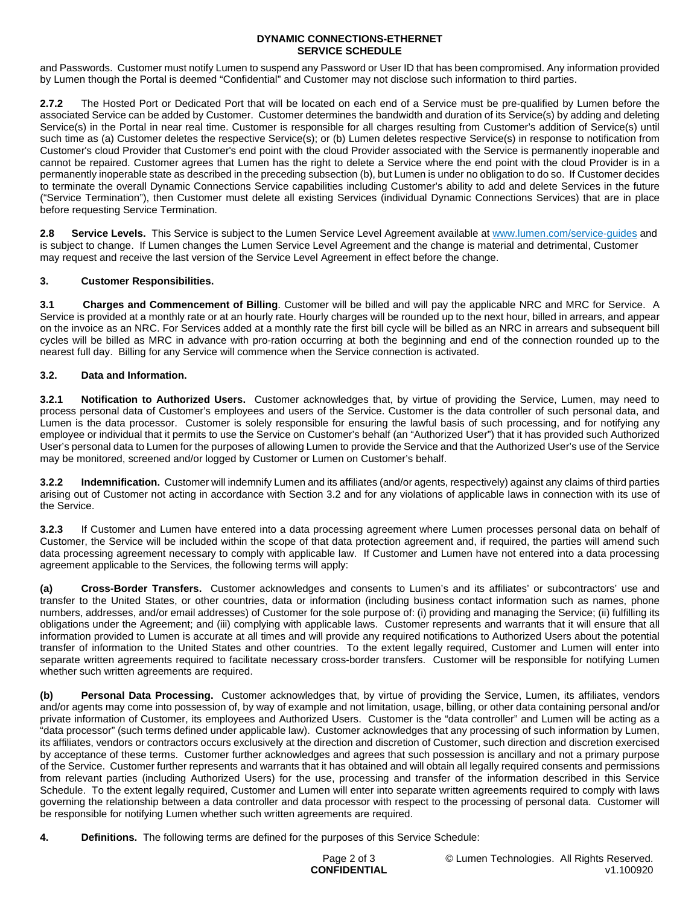### **DYNAMIC CONNECTIONS-ETHERNET SERVICE SCHEDULE**

and Passwords. Customer must notify Lumen to suspend any Password or User ID that has been compromised. Any information provided by Lumen though the Portal is deemed "Confidential" and Customer may not disclose such information to third parties.

**2.7.2** The Hosted Port or Dedicated Port that will be located on each end of a Service must be pre-qualified by Lumen before the associated Service can be added by Customer. Customer determines the bandwidth and duration of its Service(s) by adding and deleting Service(s) in the Portal in near real time. Customer is responsible for all charges resulting from Customer's addition of Service(s) until such time as (a) Customer deletes the respective Service(s); or (b) Lumen deletes respective Service(s) in response to notification from Customer's cloud Provider that Customer's end point with the cloud Provider associated with the Service is permanently inoperable and cannot be repaired. Customer agrees that Lumen has the right to delete a Service where the end point with the cloud Provider is in a permanently inoperable state as described in the preceding subsection (b), but Lumen is under no obligation to do so. If Customer decides to terminate the overall Dynamic Connections Service capabilities including Customer's ability to add and delete Services in the future ("Service Termination"), then Customer must delete all existing Services (individual Dynamic Connections Services) that are in place before requesting Service Termination.

**2.8 Service Levels.** This Service is subject to the Lumen Service Level Agreement available at [www.lumen.com/service-guides](http://www.lumen.com/service-guides) and is subject to change. If Lumen changes the Lumen Service Level Agreement and the change is material and detrimental, Customer may request and receive the last version of the Service Level Agreement in effect before the change.

# **3. Customer Responsibilities.**

**3.1 Charges and Commencement of Billing**. Customer will be billed and will pay the applicable NRC and MRC for Service. A Service is provided at a monthly rate or at an hourly rate. Hourly charges will be rounded up to the next hour, billed in arrears, and appear on the invoice as an NRC. For Services added at a monthly rate the first bill cycle will be billed as an NRC in arrears and subsequent bill cycles will be billed as MRC in advance with pro-ration occurring at both the beginning and end of the connection rounded up to the nearest full day. Billing for any Service will commence when the Service connection is activated.

# **3.2. Data and Information.**

**3.2.1 Notification to Authorized Users.** Customer acknowledges that, by virtue of providing the Service, Lumen, may need to process personal data of Customer's employees and users of the Service. Customer is the data controller of such personal data, and Lumen is the data processor. Customer is solely responsible for ensuring the lawful basis of such processing, and for notifying any employee or individual that it permits to use the Service on Customer's behalf (an "Authorized User") that it has provided such Authorized User's personal data to Lumen for the purposes of allowing Lumen to provide the Service and that the Authorized User's use of the Service may be monitored, screened and/or logged by Customer or Lumen on Customer's behalf.

**3.2.2 Indemnification.** Customer will indemnify Lumen and its affiliates (and/or agents, respectively) against any claims of third parties arising out of Customer not acting in accordance with Section 3.2 and for any violations of applicable laws in connection with its use of the Service.

**3.2.3** If Customer and Lumen have entered into a data processing agreement where Lumen processes personal data on behalf of Customer, the Service will be included within the scope of that data protection agreement and, if required, the parties will amend such data processing agreement necessary to comply with applicable law. If Customer and Lumen have not entered into a data processing agreement applicable to the Services, the following terms will apply:

**(a) Cross-Border Transfers.** Customer acknowledges and consents to Lumen's and its affiliates' or subcontractors' use and transfer to the United States, or other countries, data or information (including business contact information such as names, phone numbers, addresses, and/or email addresses) of Customer for the sole purpose of: (i) providing and managing the Service; (ii) fulfilling its obligations under the Agreement; and (iii) complying with applicable laws. Customer represents and warrants that it will ensure that all information provided to Lumen is accurate at all times and will provide any required notifications to Authorized Users about the potential transfer of information to the United States and other countries. To the extent legally required, Customer and Lumen will enter into separate written agreements required to facilitate necessary cross-border transfers. Customer will be responsible for notifying Lumen whether such written agreements are required.

**(b) Personal Data Processing.** Customer acknowledges that, by virtue of providing the Service, Lumen, its affiliates, vendors and/or agents may come into possession of, by way of example and not limitation, usage, billing, or other data containing personal and/or private information of Customer, its employees and Authorized Users. Customer is the "data controller" and Lumen will be acting as a "data processor" (such terms defined under applicable law). Customer acknowledges that any processing of such information by Lumen, its affiliates, vendors or contractors occurs exclusively at the direction and discretion of Customer, such direction and discretion exercised by acceptance of these terms. Customer further acknowledges and agrees that such possession is ancillary and not a primary purpose of the Service. Customer further represents and warrants that it has obtained and will obtain all legally required consents and permissions from relevant parties (including Authorized Users) for the use, processing and transfer of the information described in this Service Schedule. To the extent legally required, Customer and Lumen will enter into separate written agreements required to comply with laws governing the relationship between a data controller and data processor with respect to the processing of personal data. Customer will be responsible for notifying Lumen whether such written agreements are required.

**4. Definitions.** The following terms are defined for the purposes of this Service Schedule: